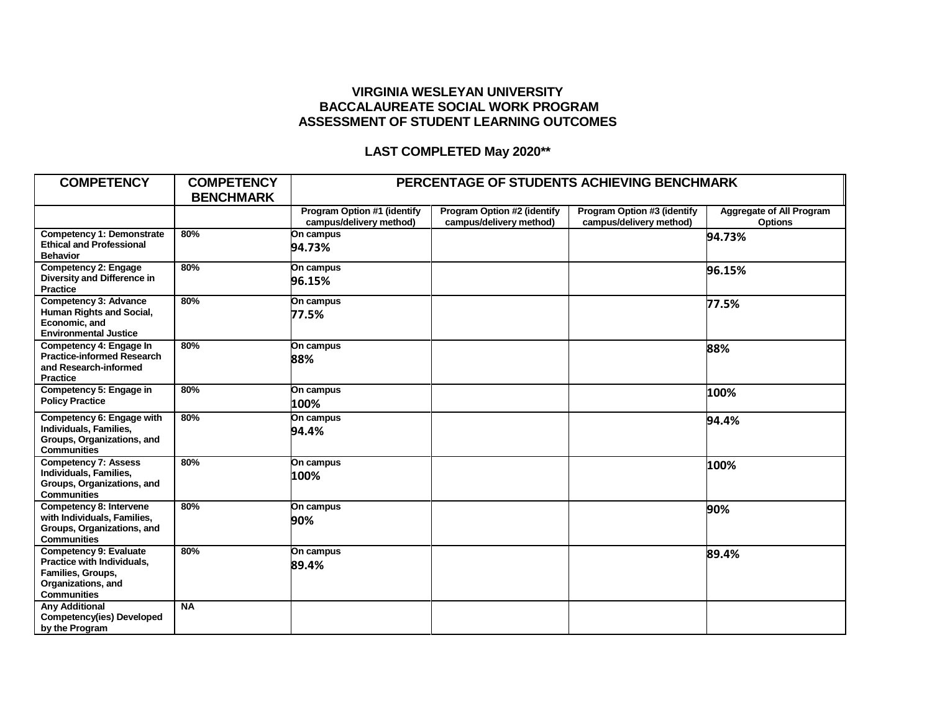## **VIRGINIA WESLEYAN UNIVERSITY BACCALAUREATE SOCIAL WORK PROGRAM ASSESSMENT OF STUDENT LEARNING OUTCOMES**

## **LAST COMPLETED May 2020\*\***

| <b>COMPETENCY</b>                                                                                                            | <b>COMPETENCY</b><br><b>BENCHMARK</b> | PERCENTAGE OF STUDENTS ACHIEVING BENCHMARK             |                                                               |                                                        |                                                   |
|------------------------------------------------------------------------------------------------------------------------------|---------------------------------------|--------------------------------------------------------|---------------------------------------------------------------|--------------------------------------------------------|---------------------------------------------------|
|                                                                                                                              |                                       | Program Option #1 (identify<br>campus/delivery method) | <b>Program Option #2 (identify</b><br>campus/delivery method) | Program Option #3 (identify<br>campus/delivery method) | <b>Aggregate of All Program</b><br><b>Options</b> |
| <b>Competency 1: Demonstrate</b><br><b>Ethical and Professional</b><br><b>Behavior</b>                                       | 80%                                   | On campus<br>94.73%                                    |                                                               |                                                        | 94.73%                                            |
| <b>Competency 2: Engage</b><br>Diversity and Difference in<br><b>Practice</b>                                                | 80%                                   | On campus<br>96.15%                                    |                                                               |                                                        | 96.15%                                            |
| <b>Competency 3: Advance</b><br>Human Rights and Social,<br>Economic, and<br><b>Environmental Justice</b>                    | 80%                                   | On campus<br>77.5%                                     |                                                               |                                                        | 77.5%                                             |
| Competency 4: Engage In<br><b>Practice-informed Research</b><br>and Research-informed<br><b>Practice</b>                     | 80%                                   | On campus<br>88%                                       |                                                               |                                                        | 88%                                               |
| Competency 5: Engage in<br><b>Policy Practice</b>                                                                            | 80%                                   | On campus<br>100%                                      |                                                               |                                                        | 100%                                              |
| Competency 6: Engage with<br>Individuals, Families,<br>Groups, Organizations, and<br><b>Communities</b>                      | 80%                                   | On campus<br>94.4%                                     |                                                               |                                                        | 94.4%                                             |
| <b>Competency 7: Assess</b><br>Individuals, Families,<br>Groups, Organizations, and<br><b>Communities</b>                    | 80%                                   | On campus<br>100%                                      |                                                               |                                                        | 100%                                              |
| Competency 8: Intervene<br>with Individuals, Families,<br>Groups, Organizations, and<br><b>Communities</b>                   | 80%                                   | On campus<br>90%                                       |                                                               |                                                        | 90%                                               |
| <b>Competency 9: Evaluate</b><br>Practice with Individuals,<br>Families, Groups,<br>Organizations, and<br><b>Communities</b> | 80%                                   | On campus<br>89.4%                                     |                                                               |                                                        | 89.4%                                             |
| <b>Anv Additional</b><br><b>Competency(ies) Developed</b><br>by the Program                                                  | <b>NA</b>                             |                                                        |                                                               |                                                        |                                                   |